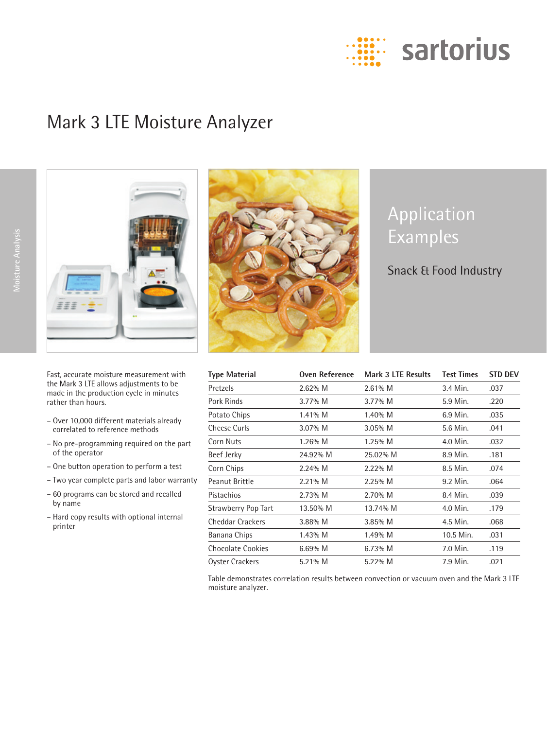

# Mark 3 LTE Moisture Analyzer



Fast, accurate moisture measurement with the Mark 3 LTE allows adjustments to be made in the production cycle in minutes rather than hours.

- Over 10,000 different materials already correlated to reference methods
- No pre-programming required on the part of the operator
- One button operation to perform a test
- Two year complete parts and labor warranty
- 60 programs can be stored and recalled by name
- Hard copy results with optional internal printer



# Application Examples

# Snack & Food Industry

| <b>Type Material</b>       | <b>Oven Reference</b> | Mark 3 LTE Results | <b>Test Times</b> | <b>STD DEV</b> |
|----------------------------|-----------------------|--------------------|-------------------|----------------|
| Pretzels                   | $2.62\%$ M            | 2.61% M            | 3.4 Min.          | .037           |
| Pork Rinds                 | $3.77\%$ M            | $3.77\%$ M         | 5.9 Min.          | .220           |
| Potato Chips               | 1.41% M               | $1.40\%$ M         | 6.9 Min.          | .035           |
| <b>Cheese Curls</b>        | 3.07% M               | $3.05\%$ M         | 5.6 Min.          | .041           |
| Corn Nuts                  | $1.26\%$ M            | $1.25\%$ M         | 4.0 Min.          | .032           |
| Beef Jerky                 | 24.92% M              | 25.02% M           | 8.9 Min.          | .181           |
| Corn Chips                 | $2.24\%$ M            | $2.22\%$ M         | 8.5 Min.          | .074           |
| Peanut Brittle             | 2.21% M               | 2.25% M            | 9.2 Min.          | .064           |
| Pistachios                 | $2.73\%$ M            | $2.70\%$ M         | 8.4 Min.          | .039           |
| <b>Strawberry Pop Tart</b> | 13.50% M              | 13.74% M           | 4.0 Min.          | .179           |
| <b>Cheddar Crackers</b>    | $3.88\%$ M            | $3.85\%$ M         | 4.5 Min.          | .068           |
| Banana Chips               | $1.43\%$ M            | 1.49% M            | 10.5 Min.         | .031           |
| <b>Chocolate Cookies</b>   | $6.69\%$ M            | $6.73\%$ M         | 7.0 Min.          | .119           |
| Oyster Crackers            | 5.21% M               | 5.22% M            | 7.9 Min.          | .021           |

Table demonstrates correlation results between convection or vacuum oven and the Mark 3 LTE moisture analyzer.